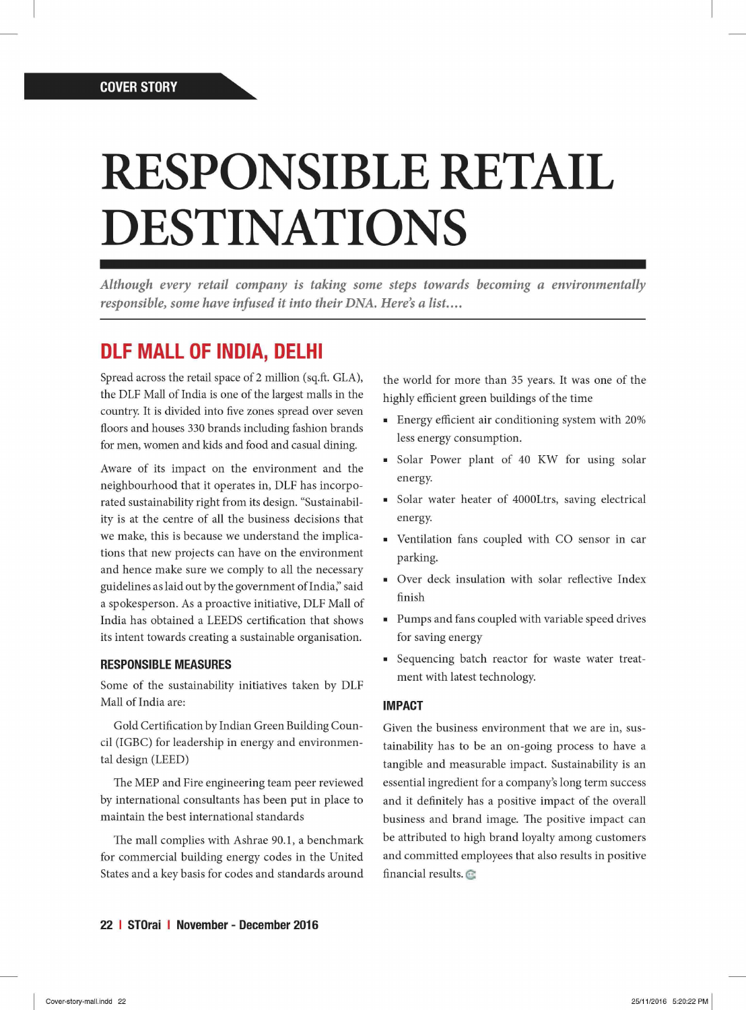# RESPONSIBLE RETAIL DESTINATIONS

*Although every retail company is taking some steps towards becoming a environmentally responsible, some have infused it into their DNA. Here's a list...* 

## **DLF MALL OF INDIA, DELHI**

Spread across the retail space of 2 million (sq.ft. GLA), the DLF Mall of India is one of the largest malls in the country. It is divided into five zones spread over seven floors and houses 330 brands including fashion brands for men, women and kids and food and casual dining.

Aware of its impact on the environment and the neighbourhood that it operates in, DLF has incorporated sustainability right from its design. "Sustainability is at the centre of all the business decisions that we make, this is because we understand the implications that new projects can have on the environment and hence make sure we comply to all the necessary guidelines as laid out by the government of India," said a spokesperson. As a proactive initiative, DLF Mall of India has obtained a LEEDS certification that shows its intent towards creating a sustainable organisation.

### **RESPONSIBLE MEASURES**

Some of the sustainability initiatives taken by DLF Mall of India are:

Gold Certification by Indian Green Building Council (IGBC) for leadership in energy and environmental design (LEED)

The MEP and Fire engineering team peer reviewed by international consultants has been put in place to maintain the best international standards

The mall complies with Ashrae 90.1, a benchmark for commercial building energy codes in the United States and a key basis for codes and standards around the world for more than 35 years. It was one of the highly efficient green buildings of the time

- Energy efficient air conditioning system with 20% less energy consumption.
- Solar Power plant of 40 KW for using solar energy.
- Solar water heater of 4000Ltrs, saving electrical energy.
- Ventilation fans coupled with CO sensor in car parking.
- Over deck insulation with solar reflective Index finish
- Pumps and fans coupled with variable speed drives for saving energy
- Sequencing batch reactor for waste water treatment with latest technology.

#### **IMPACT**

Given the business environment that we are in, sustainability has to be an on-going process to have a tangible and measurable impact. Sustainability is an essential ingredient for a company's long term success and it definitely has a positive impact of the overall business and brand image. The positive impact can be attributed to high brand loyalty among customers and committed employees that also results in positive financial results.  $\odot$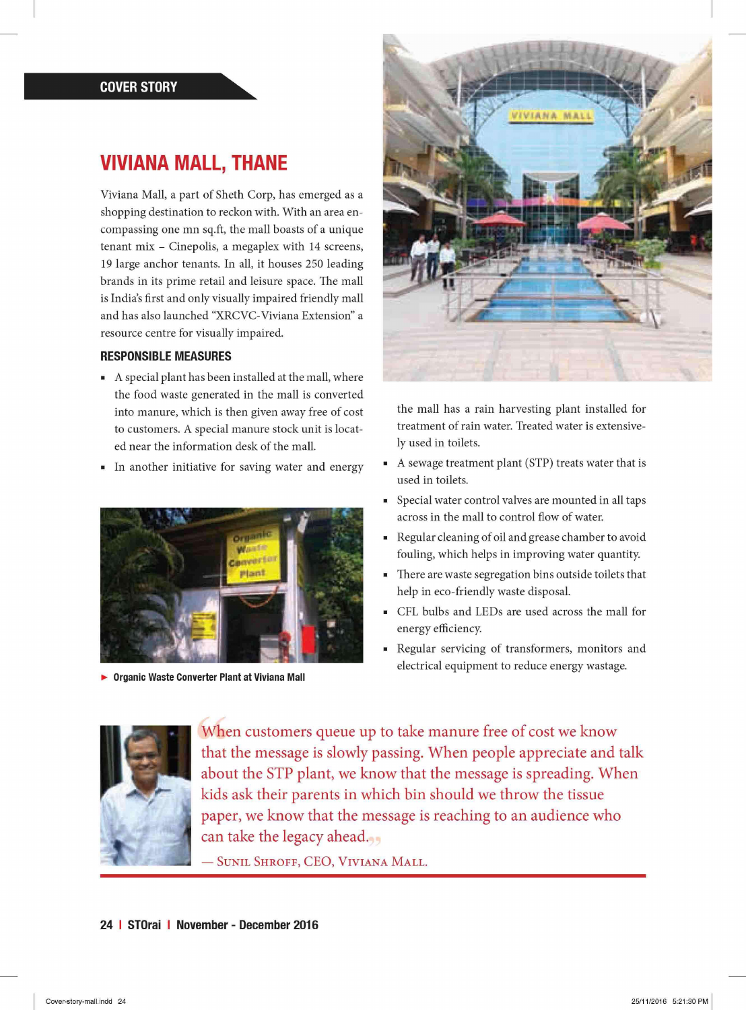## **VIVIANA MALL, THANE**

Viviana Mall, a part of Sheth Corp, has emerged as a shopping destination to reckon with. With an area encompassing one mn sq.ft, the mall boasts of a unique tenant mix - Cinepolis, a megaplex with 14 screens, 19 large anchor tenants. In all, it houses 250 leading brands in its prime retail and leisure space. The mall is India's first and only visually impaired friendly mall and has also launched "XRCVC-Viviana Extension" a resource centre for visually impaired.

#### **RESPONSIBLE MEASURES**

- A special plant has been installed at the mall, where the food waste generated in the mall is converted into manure, which is then given away free of cost to customers. A special manure stock unit is located near the information desk of the mall.
- In another initiative for saving water and energy



**• Organic Waste Converter Plant at Viviana Mall** 



the mall has a rain harvesting plant installed for treatment of rain water. Treated water is extensively used in toilets.

- A sewage treatment plant (STP) treats water that is used in toilets.
- Special water control valves are mounted in all taps across in the mall to control flow of water.
- Regular cleaning of oil and grease chamber to avoid fouling, which helps in improving water quantity.
- There are waste segregation bins outside toilets that help in eco-friendly waste disposal.
- CFL bulbs and LEDs are used across the mall for energy efficiency
- Regular servicing of transformers, monitors and m. electrical equipment to reduce energy wastage.



When customers queue up to take manure free of cost we know that the message is slowly passing. When people appreciate and talk about the STP plant, we know that the message is spreading. When kids ask their parents in which bin should we throw the tissue paper, we know that the message is reaching to an audience who can take the legacy ahead.

 $-$  Sunil Shroff, CEO, Viviana Mall.

#### **24 I STOrai I November - December 2016**